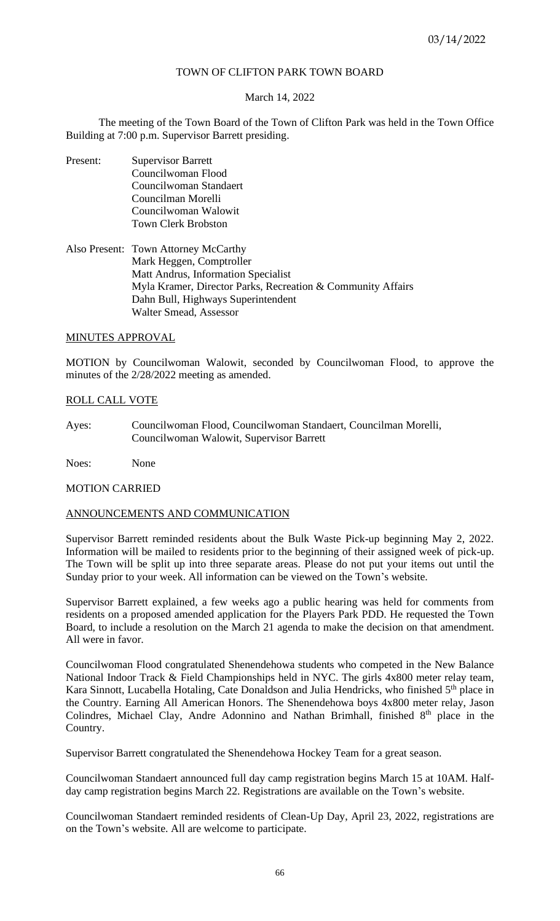# TOWN OF CLIFTON PARK TOWN BOARD

## March 14, 2022

The meeting of the Town Board of the Town of Clifton Park was held in the Town Office Building at 7:00 p.m. Supervisor Barrett presiding.

- Present: Supervisor Barrett Councilwoman Flood Councilwoman Standaert Councilman Morelli Councilwoman Walowit Town Clerk Brobston
- Also Present: Town Attorney McCarthy Mark Heggen, Comptroller Matt Andrus, Information Specialist Myla Kramer, Director Parks, Recreation & Community Affairs Dahn Bull, Highways Superintendent Walter Smead, Assessor

# MINUTES APPROVAL

MOTION by Councilwoman Walowit, seconded by Councilwoman Flood, to approve the minutes of the 2/28/2022 meeting as amended.

# ROLL CALL VOTE

Ayes: Councilwoman Flood, Councilwoman Standaert, Councilman Morelli, Councilwoman Walowit, Supervisor Barrett

Noes: None

## MOTION CARRIED

# ANNOUNCEMENTS AND COMMUNICATION

Supervisor Barrett reminded residents about the Bulk Waste Pick-up beginning May 2, 2022. Information will be mailed to residents prior to the beginning of their assigned week of pick-up. The Town will be split up into three separate areas. Please do not put your items out until the Sunday prior to your week. All information can be viewed on the Town's website.

Supervisor Barrett explained, a few weeks ago a public hearing was held for comments from residents on a proposed amended application for the Players Park PDD. He requested the Town Board, to include a resolution on the March 21 agenda to make the decision on that amendment. All were in favor.

Councilwoman Flood congratulated Shenendehowa students who competed in the New Balance National Indoor Track & Field Championships held in NYC. The girls 4x800 meter relay team, Kara Sinnott, Lucabella Hotaling, Cate Donaldson and Julia Hendricks, who finished 5<sup>th</sup> place in the Country. Earning All American Honors. The Shenendehowa boys 4x800 meter relay, Jason Colindres, Michael Clay, Andre Adonnino and Nathan Brimhall, finished 8<sup>th</sup> place in the Country.

Supervisor Barrett congratulated the Shenendehowa Hockey Team for a great season.

Councilwoman Standaert announced full day camp registration begins March 15 at 10AM. Halfday camp registration begins March 22. Registrations are available on the Town's website.

Councilwoman Standaert reminded residents of Clean-Up Day, April 23, 2022, registrations are on the Town's website. All are welcome to participate.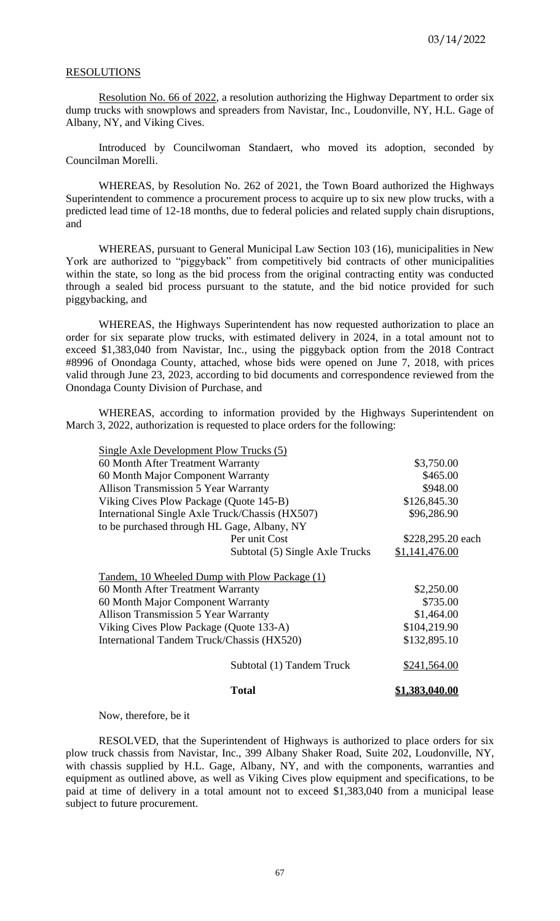## RESOLUTIONS

Resolution No. 66 of 2022, a resolution authorizing the Highway Department to order six dump trucks with snowplows and spreaders from Navistar, Inc., Loudonville, NY, H.L. Gage of Albany, NY, and Viking Cives.

Introduced by Councilwoman Standaert, who moved its adoption, seconded by Councilman Morelli.

WHEREAS, by Resolution No. 262 of 2021, the Town Board authorized the Highways Superintendent to commence a procurement process to acquire up to six new plow trucks, with a predicted lead time of 12-18 months, due to federal policies and related supply chain disruptions, and

WHEREAS, pursuant to General Municipal Law Section 103 (16), municipalities in New York are authorized to "piggyback" from competitively bid contracts of other municipalities within the state, so long as the bid process from the original contracting entity was conducted through a sealed bid process pursuant to the statute, and the bid notice provided for such piggybacking, and

WHEREAS, the Highways Superintendent has now requested authorization to place an order for six separate plow trucks, with estimated delivery in 2024, in a total amount not to exceed \$1,383,040 from Navistar, Inc., using the piggyback option from the 2018 Contract #8996 of Onondaga County, attached, whose bids were opened on June 7, 2018, with prices valid through June 23, 2023, according to bid documents and correspondence reviewed from the Onondaga County Division of Purchase, and

WHEREAS, according to information provided by the Highways Superintendent on March 3, 2022, authorization is requested to place orders for the following:

| Total                                           | <u>1,383,040.00</u> |
|-------------------------------------------------|---------------------|
| Subtotal (1) Tandem Truck                       | \$241,564.00        |
| International Tandem Truck/Chassis (HX520)      | \$132,895.10        |
| Viking Cives Plow Package (Quote 133-A)         | \$104,219.90        |
| <b>Allison Transmission 5 Year Warranty</b>     | \$1,464.00          |
| 60 Month Major Component Warranty               | \$735.00            |
| 60 Month After Treatment Warranty               | \$2,250.00          |
| Tandem, 10 Wheeled Dump with Plow Package (1)   |                     |
| Subtotal (5) Single Axle Trucks                 | \$1,141,476.00      |
| Per unit Cost                                   | \$228,295.20 each   |
| to be purchased through HL Gage, Albany, NY     |                     |
| International Single Axle Truck/Chassis (HX507) | \$96,286.90         |
| Viking Cives Plow Package (Quote 145-B)         | \$126,845.30        |
| <b>Allison Transmission 5 Year Warranty</b>     | \$948.00            |
| 60 Month Major Component Warranty               | \$465.00            |
| 60 Month After Treatment Warranty               | \$3,750.00          |
| Single Axle Development Plow Trucks (5)         |                     |

Now, therefore, be it

RESOLVED, that the Superintendent of Highways is authorized to place orders for six plow truck chassis from Navistar, Inc., 399 Albany Shaker Road, Suite 202, Loudonville, NY, with chassis supplied by H.L. Gage, Albany, NY, and with the components, warranties and equipment as outlined above, as well as Viking Cives plow equipment and specifications, to be paid at time of delivery in a total amount not to exceed \$1,383,040 from a municipal lease subject to future procurement.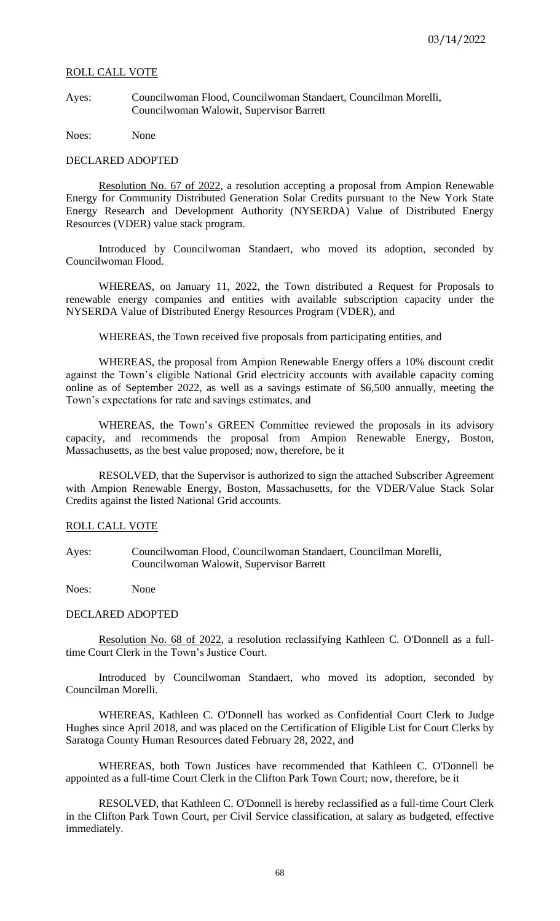Ayes: Councilwoman Flood, Councilwoman Standaert, Councilman Morelli, Councilwoman Walowit, Supervisor Barrett

Noes: None

#### DECLARED ADOPTED

Resolution No. 67 of 2022, a resolution accepting a proposal from Ampion Renewable Energy for Community Distributed Generation Solar Credits pursuant to the New York State Energy Research and Development Authority (NYSERDA) Value of Distributed Energy Resources (VDER) value stack program.

Introduced by Councilwoman Standaert, who moved its adoption, seconded by Councilwoman Flood.

WHEREAS, on January 11, 2022, the Town distributed a Request for Proposals to renewable energy companies and entities with available subscription capacity under the NYSERDA Value of Distributed Energy Resources Program (VDER), and

WHEREAS, the Town received five proposals from participating entities, and

WHEREAS, the proposal from Ampion Renewable Energy offers a 10% discount credit against the Town's eligible National Grid electricity accounts with available capacity coming online as of September 2022, as well as a savings estimate of \$6,500 annually, meeting the Town's expectations for rate and savings estimates, and

WHEREAS, the Town's GREEN Committee reviewed the proposals in its advisory capacity, and recommends the proposal from Ampion Renewable Energy, Boston, Massachusetts, as the best value proposed; now, therefore, be it

RESOLVED, that the Supervisor is authorized to sign the attached Subscriber Agreement with Ampion Renewable Energy, Boston, Massachusetts, for the VDER/Value Stack Solar Credits against the listed National Grid accounts.

# ROLL CALL VOTE

Ayes: Councilwoman Flood, Councilwoman Standaert, Councilman Morelli, Councilwoman Walowit, Supervisor Barrett

Noes: None

#### DECLARED ADOPTED

Resolution No. 68 of 2022, a resolution reclassifying Kathleen C. O'Donnell as a fulltime Court Clerk in the Town's Justice Court.

Introduced by Councilwoman Standaert, who moved its adoption, seconded by Councilman Morelli.

WHEREAS, Kathleen C. O'Donnell has worked as Confidential Court Clerk to Judge Hughes since April 2018, and was placed on the Certification of Eligible List for Court Clerks by Saratoga County Human Resources dated February 28, 2022, and

WHEREAS, both Town Justices have recommended that Kathleen C. O'Donnell be appointed as a full-time Court Clerk in the Clifton Park Town Court; now, therefore, be it

RESOLVED, that Kathleen C. O'Donnell is hereby reclassified as a full-time Court Clerk in the Clifton Park Town Court, per Civil Service classification, at salary as budgeted, effective immediately.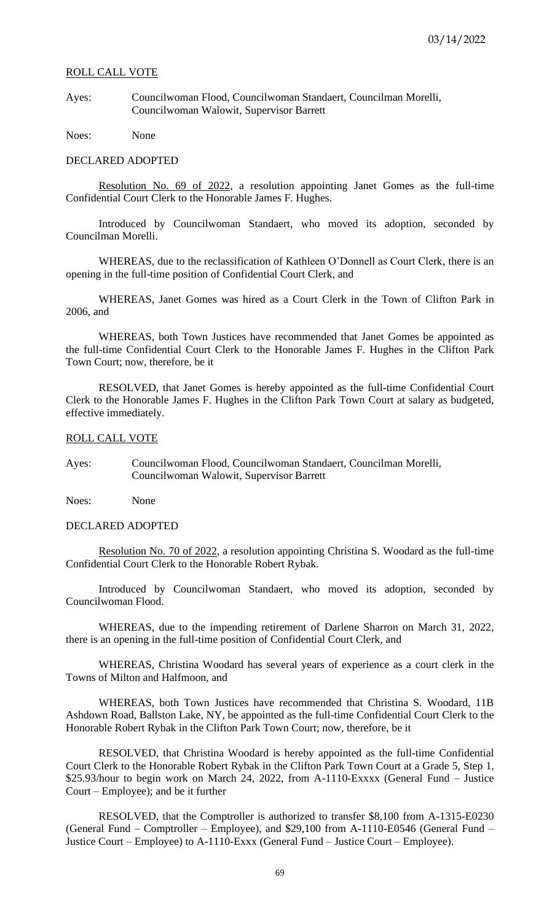Ayes: Councilwoman Flood, Councilwoman Standaert, Councilman Morelli, Councilwoman Walowit, Supervisor Barrett

Noes: None

#### DECLARED ADOPTED

Resolution No. 69 of 2022, a resolution appointing Janet Gomes as the full-time Confidential Court Clerk to the Honorable James F. Hughes.

Introduced by Councilwoman Standaert, who moved its adoption, seconded by Councilman Morelli.

WHEREAS, due to the reclassification of Kathleen O'Donnell as Court Clerk, there is an opening in the full-time position of Confidential Court Clerk, and

WHEREAS, Janet Gomes was hired as a Court Clerk in the Town of Clifton Park in 2006, and

WHEREAS, both Town Justices have recommended that Janet Gomes be appointed as the full-time Confidential Court Clerk to the Honorable James F. Hughes in the Clifton Park Town Court; now, therefore, be it

RESOLVED, that Janet Gomes is hereby appointed as the full-time Confidential Court Clerk to the Honorable James F. Hughes in the Clifton Park Town Court at salary as budgeted, effective immediately.

#### ROLL CALL VOTE

Ayes: Councilwoman Flood, Councilwoman Standaert, Councilman Morelli, Councilwoman Walowit, Supervisor Barrett

Noes: None

## DECLARED ADOPTED

Resolution No. 70 of 2022, a resolution appointing Christina S. Woodard as the full-time Confidential Court Clerk to the Honorable Robert Rybak.

Introduced by Councilwoman Standaert, who moved its adoption, seconded by Councilwoman Flood.

WHEREAS, due to the impending retirement of Darlene Sharron on March 31, 2022, there is an opening in the full-time position of Confidential Court Clerk, and

WHEREAS, Christina Woodard has several years of experience as a court clerk in the Towns of Milton and Halfmoon, and

WHEREAS, both Town Justices have recommended that Christina S. Woodard, 11B Ashdown Road, Ballston Lake, NY, be appointed as the full-time Confidential Court Clerk to the Honorable Robert Rybak in the Clifton Park Town Court; now, therefore, be it

RESOLVED, that Christina Woodard is hereby appointed as the full-time Confidential Court Clerk to the Honorable Robert Rybak in the Clifton Park Town Court at a Grade 5, Step 1, \$25.93/hour to begin work on March 24, 2022, from A-1110-Exxxx (General Fund – Justice Court – Employee); and be it further

RESOLVED, that the Comptroller is authorized to transfer \$8,100 from A-1315-E0230 (General Fund – Comptroller – Employee), and \$29,100 from A-1110-E0546 (General Fund – Justice Court – Employee) to A-1110-Exxx (General Fund – Justice Court – Employee).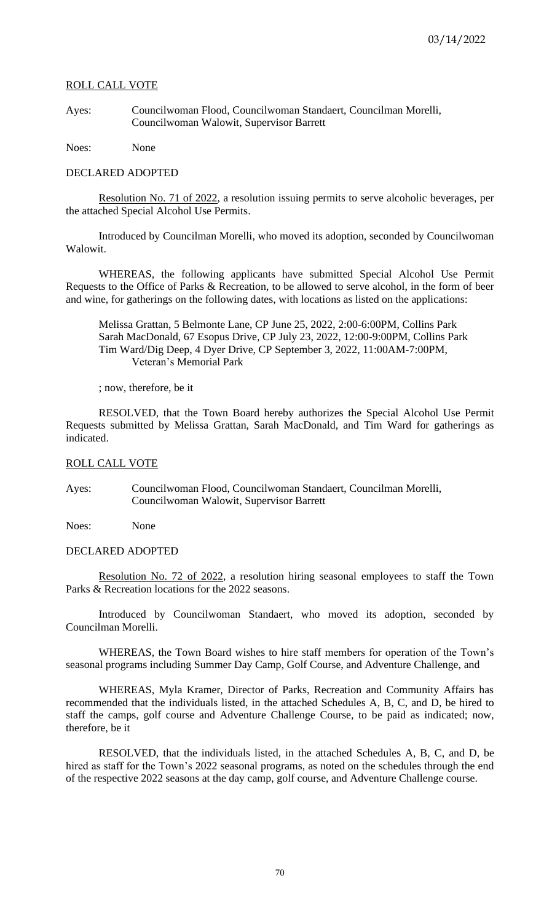Ayes: Councilwoman Flood, Councilwoman Standaert, Councilman Morelli, Councilwoman Walowit, Supervisor Barrett

Noes: None

# DECLARED ADOPTED

Resolution No. 71 of 2022, a resolution issuing permits to serve alcoholic beverages, per the attached Special Alcohol Use Permits.

Introduced by Councilman Morelli, who moved its adoption, seconded by Councilwoman Walowit.

WHEREAS, the following applicants have submitted Special Alcohol Use Permit Requests to the Office of Parks & Recreation, to be allowed to serve alcohol, in the form of beer and wine, for gatherings on the following dates, with locations as listed on the applications:

Melissa Grattan, 5 Belmonte Lane, CP June 25, 2022, 2:00-6:00PM, Collins Park Sarah MacDonald, 67 Esopus Drive, CP July 23, 2022, 12:00-9:00PM, Collins Park Tim Ward/Dig Deep, 4 Dyer Drive, CP September 3, 2022, 11:00AM-7:00PM, Veteran's Memorial Park

; now, therefore, be it

RESOLVED, that the Town Board hereby authorizes the Special Alcohol Use Permit Requests submitted by Melissa Grattan, Sarah MacDonald, and Tim Ward for gatherings as indicated.

# ROLL CALL VOTE

Ayes: Councilwoman Flood, Councilwoman Standaert, Councilman Morelli, Councilwoman Walowit, Supervisor Barrett

Noes: None

## DECLARED ADOPTED

Resolution No. 72 of 2022, a resolution hiring seasonal employees to staff the Town Parks & Recreation locations for the 2022 seasons.

Introduced by Councilwoman Standaert, who moved its adoption, seconded by Councilman Morelli.

WHEREAS, the Town Board wishes to hire staff members for operation of the Town's seasonal programs including Summer Day Camp, Golf Course, and Adventure Challenge, and

WHEREAS, Myla Kramer, Director of Parks, Recreation and Community Affairs has recommended that the individuals listed, in the attached Schedules A, B, C, and D, be hired to staff the camps, golf course and Adventure Challenge Course, to be paid as indicated; now, therefore, be it

RESOLVED, that the individuals listed, in the attached Schedules A, B, C, and D, be hired as staff for the Town's 2022 seasonal programs, as noted on the schedules through the end of the respective 2022 seasons at the day camp, golf course, and Adventure Challenge course.